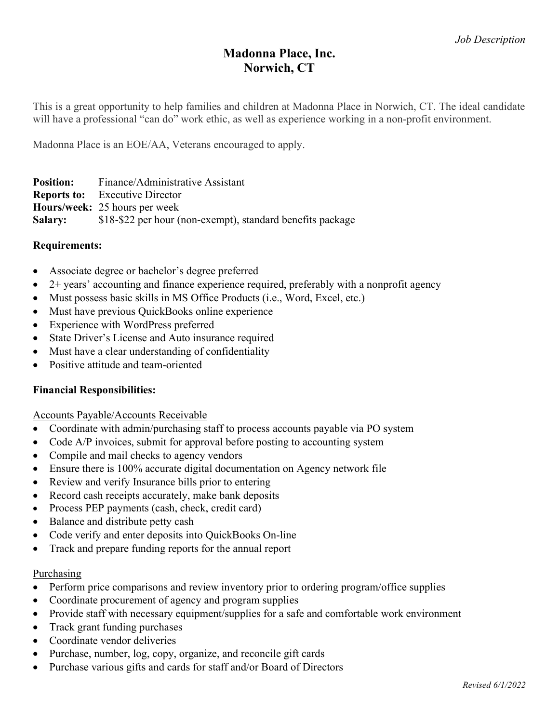# Madonna Place, Inc. Norwich, CT

This is a great opportunity to help families and children at Madonna Place in Norwich, CT. The ideal candidate will have a professional "can do" work ethic, as well as experience working in a non-profit environment.

Madonna Place is an EOE/AA, Veterans encouraged to apply.

| <b>Position:</b> | Finance/Administrative Assistant                           |
|------------------|------------------------------------------------------------|
|                  | <b>Reports to:</b> Executive Director                      |
|                  | <b>Hours/week: 25 hours per week</b>                       |
| <b>Salary:</b>   | \$18-\$22 per hour (non-exempt), standard benefits package |

# Requirements:

- Associate degree or bachelor's degree preferred
- $\bullet$  2+ years' accounting and finance experience required, preferably with a nonprofit agency
- Must possess basic skills in MS Office Products (i.e., Word, Excel, etc.)
- Must have previous QuickBooks online experience
- Experience with WordPress preferred
- State Driver's License and Auto insurance required
- Must have a clear understanding of confidentiality
- Positive attitude and team-oriented

# Financial Responsibilities:

## Accounts Payable/Accounts Receivable

- Coordinate with admin/purchasing staff to process accounts payable via PO system
- Code A/P invoices, submit for approval before posting to accounting system
- Compile and mail checks to agency vendors
- Ensure there is 100% accurate digital documentation on Agency network file
- Review and verify Insurance bills prior to entering
- Record cash receipts accurately, make bank deposits
- Process PEP payments (cash, check, credit card)
- Balance and distribute petty cash
- Code verify and enter deposits into QuickBooks On-line
- Track and prepare funding reports for the annual report

## Purchasing

- Perform price comparisons and review inventory prior to ordering program/office supplies
- Coordinate procurement of agency and program supplies
- Provide staff with necessary equipment/supplies for a safe and comfortable work environment
- Track grant funding purchases
- Coordinate vendor deliveries
- Purchase, number, log, copy, organize, and reconcile gift cards
- Purchase various gifts and cards for staff and/or Board of Directors